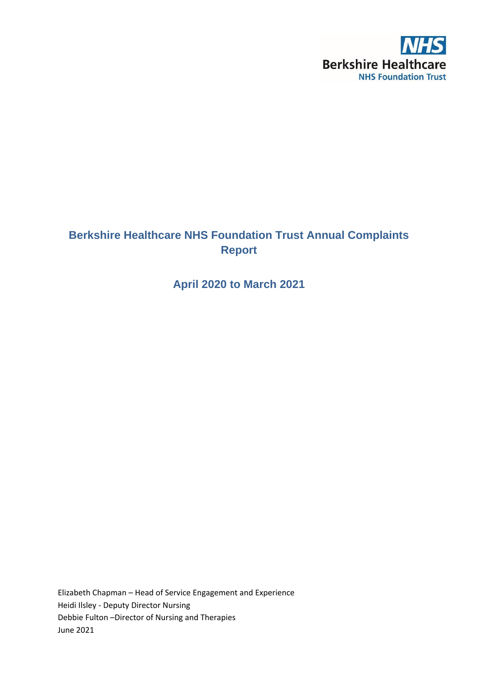

# **Berkshire Healthcare NHS Foundation Trust Annual Complaints Report**

**April 2020 to March 2021**

Elizabeth Chapman – Head of Service Engagement and Experience Heidi Ilsley - Deputy Director Nursing Debbie Fulton –Director of Nursing and Therapies June 2021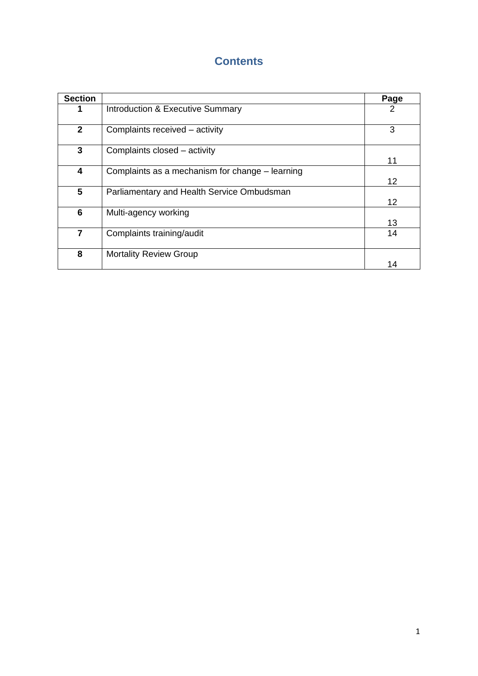# **Contents**

| <b>Section</b>  |                                                 | Page            |
|-----------------|-------------------------------------------------|-----------------|
| 1               | <b>Introduction &amp; Executive Summary</b>     | 2               |
| $\mathbf{2}$    | Complaints received - activity                  | 3               |
| 3               | Complaints closed - activity                    | 11              |
| 4               | Complaints as a mechanism for change – learning | 12              |
| 5               | Parliamentary and Health Service Ombudsman      | 12 <sup>2</sup> |
| $6\phantom{1}6$ | Multi-agency working                            | 13              |
| $\overline{7}$  | Complaints training/audit                       | 14              |
| 8               | <b>Mortality Review Group</b>                   | 14              |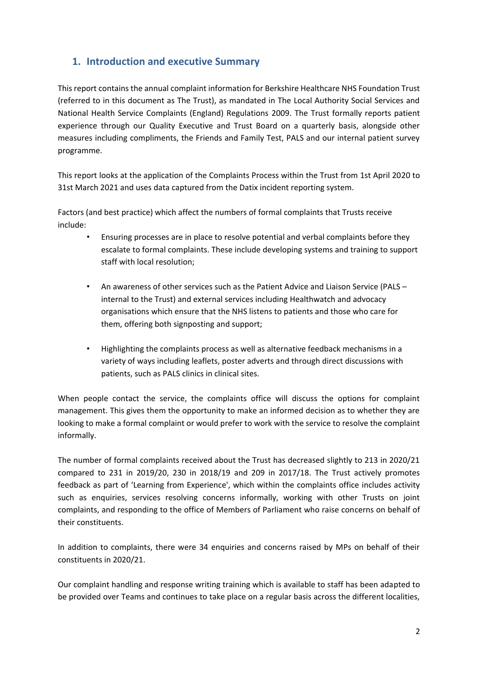## **1. Introduction and executive Summary**

This report contains the annual complaint information for Berkshire Healthcare NHS Foundation Trust (referred to in this document as The Trust), as mandated in The Local Authority Social Services and National Health Service Complaints (England) Regulations 2009. The Trust formally reports patient experience through our Quality Executive and Trust Board on a quarterly basis, alongside other measures including compliments, the Friends and Family Test, PALS and our internal patient survey programme.

This report looks at the application of the Complaints Process within the Trust from 1st April 2020 to 31st March 2021 and uses data captured from the Datix incident reporting system.

Factors (and best practice) which affect the numbers of formal complaints that Trusts receive include:

- Ensuring processes are in place to resolve potential and verbal complaints before they escalate to formal complaints. These include developing systems and training to support staff with local resolution;
- An awareness of other services such as the Patient Advice and Liaison Service (PALS internal to the Trust) and external services including Healthwatch and advocacy organisations which ensure that the NHS listens to patients and those who care for them, offering both signposting and support;
- Highlighting the complaints process as well as alternative feedback mechanisms in a variety of ways including leaflets, poster adverts and through direct discussions with patients, such as PALS clinics in clinical sites.

When people contact the service, the complaints office will discuss the options for complaint management. This gives them the opportunity to make an informed decision as to whether they are looking to make a formal complaint or would prefer to work with the service to resolve the complaint informally.

The number of formal complaints received about the Trust has decreased slightly to 213 in 2020/21 compared to 231 in 2019/20, 230 in 2018/19 and 209 in 2017/18. The Trust actively promotes feedback as part of 'Learning from Experience', which within the complaints office includes activity such as enquiries, services resolving concerns informally, working with other Trusts on joint complaints, and responding to the office of Members of Parliament who raise concerns on behalf of their constituents.

In addition to complaints, there were 34 enquiries and concerns raised by MPs on behalf of their constituents in 2020/21.

Our complaint handling and response writing training which is available to staff has been adapted to be provided over Teams and continues to take place on a regular basis across the different localities,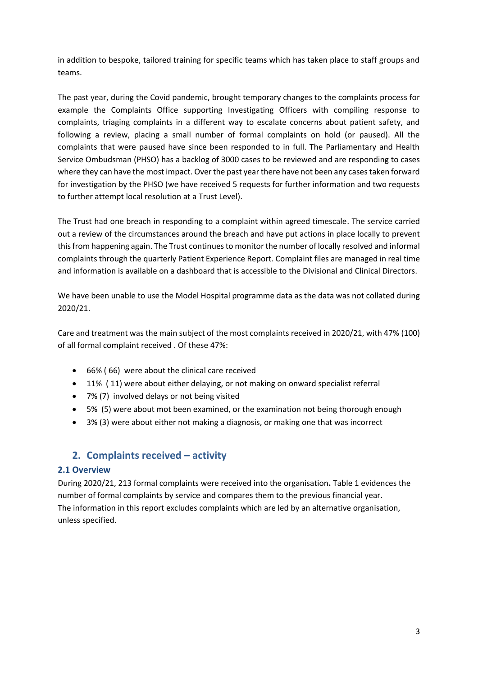in addition to bespoke, tailored training for specific teams which has taken place to staff groups and teams.

The past year, during the Covid pandemic, brought temporary changes to the complaints process for example the Complaints Office supporting Investigating Officers with compiling response to complaints, triaging complaints in a different way to escalate concerns about patient safety, and following a review, placing a small number of formal complaints on hold (or paused). All the complaints that were paused have since been responded to in full. The Parliamentary and Health Service Ombudsman (PHSO) has a backlog of 3000 cases to be reviewed and are responding to cases where they can have the most impact. Over the past year there have not been any cases taken forward for investigation by the PHSO (we have received 5 requests for further information and two requests to further attempt local resolution at a Trust Level).

The Trust had one breach in responding to a complaint within agreed timescale. The service carried out a review of the circumstances around the breach and have put actions in place locally to prevent this from happening again. The Trust continues to monitor the number of locally resolved and informal complaints through the quarterly Patient Experience Report. Complaint files are managed in real time and information is available on a dashboard that is accessible to the Divisional and Clinical Directors.

We have been unable to use the Model Hospital programme data as the data was not collated during 2020/21.

Care and treatment was the main subject of the most complaints received in 2020/21, with 47% (100) of all formal complaint received . Of these 47%:

- 66% ( 66) were about the clinical care received
- 11% ( 11) were about either delaying, or not making on onward specialist referral
- 7% (7) involved delays or not being visited
- 5% (5) were about mot been examined, or the examination not being thorough enough
- 3% (3) were about either not making a diagnosis, or making one that was incorrect

## **2. Complaints received – activity**

## **2.1 Overview**

During 2020/21, 213 formal complaints were received into the organisation**.** Table 1 evidences the number of formal complaints by service and compares them to the previous financial year. The information in this report excludes complaints which are led by an alternative organisation, unless specified.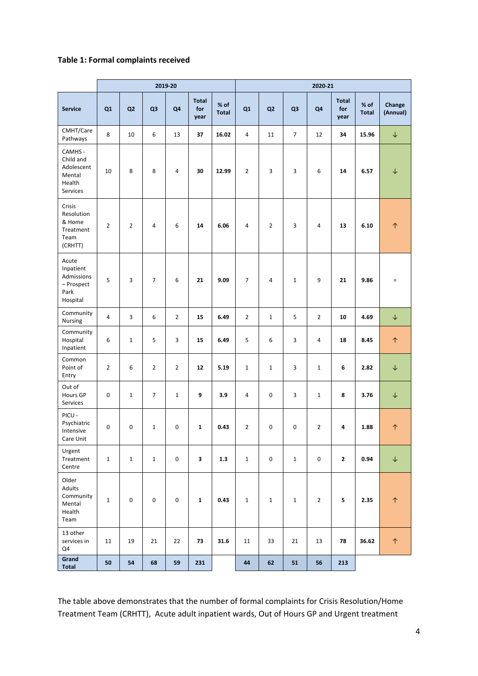## **Table 1: Formal complaints received**

|                                                                    | 2019-20        |                |                | 2020-21        |                             |                      |                |                |                |                |                             |                      |                    |
|--------------------------------------------------------------------|----------------|----------------|----------------|----------------|-----------------------------|----------------------|----------------|----------------|----------------|----------------|-----------------------------|----------------------|--------------------|
| <b>Service</b>                                                     | Q1             | Q <sub>2</sub> | Q <sub>3</sub> | Q <sub>4</sub> | <b>Total</b><br>for<br>year | % of<br><b>Total</b> | Q1             | Q <sub>2</sub> | Q <sub>3</sub> | Q <sub>4</sub> | <b>Total</b><br>for<br>year | % of<br><b>Total</b> | Change<br>(Annual) |
| CMHT/Care<br>Pathways                                              | 8              | 10             | 6              | 13             | 37                          | 16.02                | $\overline{4}$ | 11             | $\overline{7}$ | 12             | 34                          | 15.96                | $\downarrow$       |
| CAMHS -<br>Child and<br>Adolescent<br>Mental<br>Health<br>Services | 10             | 8              | 8              | $\overline{4}$ | 30                          | 12.99                | $\overline{2}$ | 3              | 3              | 6              | 14                          | 6.57                 | $\downarrow$       |
| Crisis<br>Resolution<br>& Home<br>Treatment<br>Team<br>(CRHTT)     | $\overline{2}$ | $\overline{2}$ | 4              | 6              | 14                          | 6.06                 | $\overline{4}$ | $\overline{2}$ | 3              | $\overline{4}$ | 13                          | 6.10                 | $\uparrow$         |
| Acute<br>Inpatient<br>Admissions<br>- Prospect<br>Park<br>Hospital | 5              | 3              | 7              | 6              | 21                          | 9.09                 | $\overline{7}$ | $\overline{4}$ | $\mathbf{1}$   | 9              | 21                          | 9.86                 | $\equiv$           |
| Community<br>Nursing                                               | $\overline{4}$ | 3              | 6              | $\overline{2}$ | 15                          | 6.49                 | $\overline{2}$ | $\mathbf 1$    | 5              | $\overline{2}$ | 10                          | 4.69                 | $\downarrow$       |
| Community<br>Hospital<br>Inpatient                                 | 6              | $1\,$          | 5              | $\overline{3}$ | 15                          | 6.49                 | 5              | 6              | 3              | 4              | 18                          | 8.45                 | $\uparrow$         |
| Common<br>Point of<br>Entry                                        | $\overline{2}$ | 6              | $\overline{2}$ | $\overline{2}$ | 12                          | 5.19                 | $\mathbf{1}$   | 1              | 3              | $\mathbf{1}$   | 6                           | 2.82                 | $\downarrow$       |
| Out of<br>Hours GP<br>Services                                     | 0              | $\mathbf{1}$   | 7              | $\mathbf{1}$   | 9                           | 3.9                  | 4              | 0              | 3              | $\mathbf{1}$   | 8                           | 3.76                 | $\downarrow$       |
| PICU -<br>Psychiatric<br>Intensive<br>Care Unit                    | 0              | 0              | $\mathbf{1}$   | 0              | 1                           | 0.43                 | $\overline{2}$ | 0              | 0              | $\overline{2}$ | 4                           | 1.88                 | $\uparrow$         |
| Urgent<br>Treatment<br>Centre                                      | $\mathbf 1$    | $\mathbf{1}$   | $\mathbf{1}$   | 0              | 3                           | 1.3                  | $\mathbf{1}$   | 0              | $\mathbf{1}$   | 0              | $\mathbf{2}$                | 0.94                 | $\downarrow$       |
| Older<br>Adults<br>Community<br>Mental<br>Health<br>Team           | $\mathbf{1}$   | $\pmb{0}$      | $\pmb{0}$      | $\mathbf 0$    | $\mathbf{1}$                | 0.43                 | $\mathbf{1}$   | $\mathbf{1}$   | $\mathbf{1}$   | $\overline{2}$ | 5                           | 2.35                 | $\uparrow$         |
| 13 other<br>services in<br>Q4                                      | 11             | 19             | 21             | 22             | 73                          | 31.6                 | 11             | 33             | 21             | 13             | 78                          | 36.62                | $\uparrow$         |
| Grand<br>Total                                                     | 50             | 54             | 68             | 59             | 231                         |                      | 44             | 62             | 51             | 56             | 213                         |                      |                    |

The table above demonstrates that the number of formal complaints for Crisis Resolution/Home Treatment Team (CRHTT), Acute adult inpatient wards, Out of Hours GP and Urgent treatment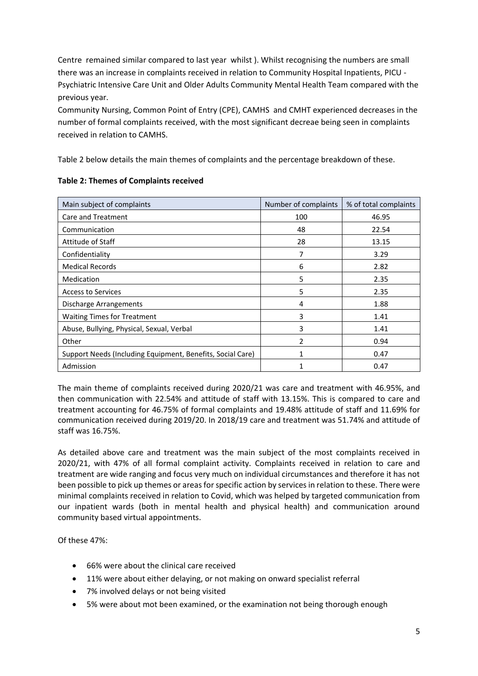Centre remained similar compared to last year whilst ). Whilst recognising the numbers are small there was an increase in complaints received in relation to Community Hospital Inpatients, PICU - Psychiatric Intensive Care Unit and Older Adults Community Mental Health Team compared with the previous year.

Community Nursing, Common Point of Entry (CPE), CAMHS and CMHT experienced decreases in the number of formal complaints received, with the most significant decreae being seen in complaints received in relation to CAMHS.

Table 2 below details the main themes of complaints and the percentage breakdown of these.

| Main subject of complaints                                 | Number of complaints | % of total complaints |
|------------------------------------------------------------|----------------------|-----------------------|
| Care and Treatment                                         | 100                  | 46.95                 |
| Communication                                              | 48                   | 22.54                 |
| Attitude of Staff                                          | 28                   | 13.15                 |
| Confidentiality                                            | 7                    | 3.29                  |
| <b>Medical Records</b>                                     | 6                    | 2.82                  |
| Medication                                                 | 5                    | 2.35                  |
| <b>Access to Services</b>                                  | 5                    | 2.35                  |
| Discharge Arrangements                                     | 4                    | 1.88                  |
| <b>Waiting Times for Treatment</b>                         | 3                    | 1.41                  |
| Abuse, Bullying, Physical, Sexual, Verbal                  | 3                    | 1.41                  |
| Other                                                      | 2                    | 0.94                  |
| Support Needs (Including Equipment, Benefits, Social Care) | 1                    | 0.47                  |
| Admission                                                  | 1                    | 0.47                  |

## **Table 2: Themes of Complaints received**

The main theme of complaints received during 2020/21 was care and treatment with 46.95%, and then communication with 22.54% and attitude of staff with 13.15%. This is compared to care and treatment accounting for 46.75% of formal complaints and 19.48% attitude of staff and 11.69% for communication received during 2019/20. In 2018/19 care and treatment was 51.74% and attitude of staff was 16.75%.

As detailed above care and treatment was the main subject of the most complaints received in 2020/21, with 47% of all formal complaint activity. Complaints received in relation to care and treatment are wide ranging and focus very much on individual circumstances and therefore it has not been possible to pick up themes or areas for specific action by services in relation to these. There were minimal complaints received in relation to Covid, which was helped by targeted communication from our inpatient wards (both in mental health and physical health) and communication around community based virtual appointments.

Of these 47%:

- 66% were about the clinical care received
- 11% were about either delaying, or not making on onward specialist referral
- 7% involved delays or not being visited
- 5% were about mot been examined, or the examination not being thorough enough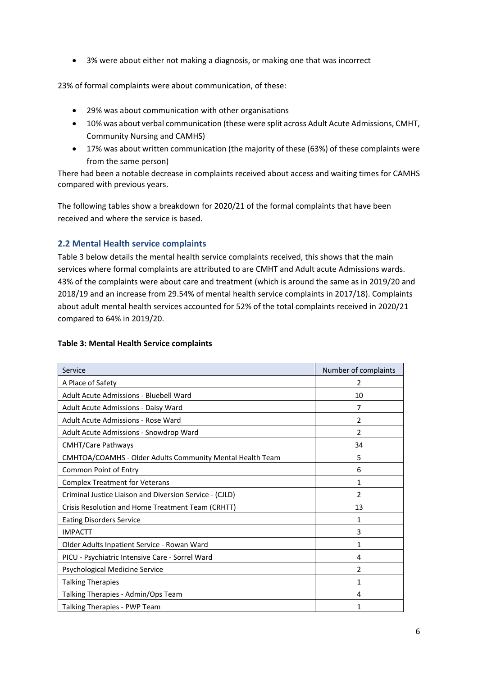• 3% were about either not making a diagnosis, or making one that was incorrect

23% of formal complaints were about communication, of these:

- 29% was about communication with other organisations
- 10% was about verbal communication (these were split across Adult Acute Admissions, CMHT, Community Nursing and CAMHS)
- 17% was about written communication (the majority of these (63%) of these complaints were from the same person)

There had been a notable decrease in complaints received about access and waiting times for CAMHS compared with previous years.

The following tables show a breakdown for 2020/21 of the formal complaints that have been received and where the service is based.

## **2.2 Mental Health service complaints**

Table 3 below details the mental health service complaints received, this shows that the main services where formal complaints are attributed to are CMHT and Adult acute Admissions wards. 43% of the complaints were about care and treatment (which is around the same as in 2019/20 and 2018/19 and an increase from 29.54% of mental health service complaints in 2017/18). Complaints about adult mental health services accounted for 52% of the total complaints received in 2020/21 compared to 64% in 2019/20.

| Service                                                   | Number of complaints |
|-----------------------------------------------------------|----------------------|
| A Place of Safety                                         | 2                    |
| Adult Acute Admissions - Bluebell Ward                    | 10                   |
| Adult Acute Admissions - Daisy Ward                       | 7                    |
| Adult Acute Admissions - Rose Ward                        | 2                    |
| Adult Acute Admissions - Snowdrop Ward                    | 2                    |
| <b>CMHT/Care Pathways</b>                                 | 34                   |
| CMHTOA/COAMHS - Older Adults Community Mental Health Team | 5                    |
| Common Point of Entry                                     | 6                    |
| <b>Complex Treatment for Veterans</b>                     | 1                    |
| Criminal Justice Liaison and Diversion Service - (CJLD)   | 2                    |
| Crisis Resolution and Home Treatment Team (CRHTT)         | 13                   |
| <b>Eating Disorders Service</b>                           | 1                    |
| <b>IMPACTT</b>                                            | 3                    |
| Older Adults Inpatient Service - Rowan Ward               | 1                    |
| PICU - Psychiatric Intensive Care - Sorrel Ward           | 4                    |
| Psychological Medicine Service                            | 2                    |
| <b>Talking Therapies</b>                                  | 1                    |
| Talking Therapies - Admin/Ops Team                        | 4                    |
| Talking Therapies - PWP Team                              | 1                    |

#### **Table 3: Mental Health Service complaints**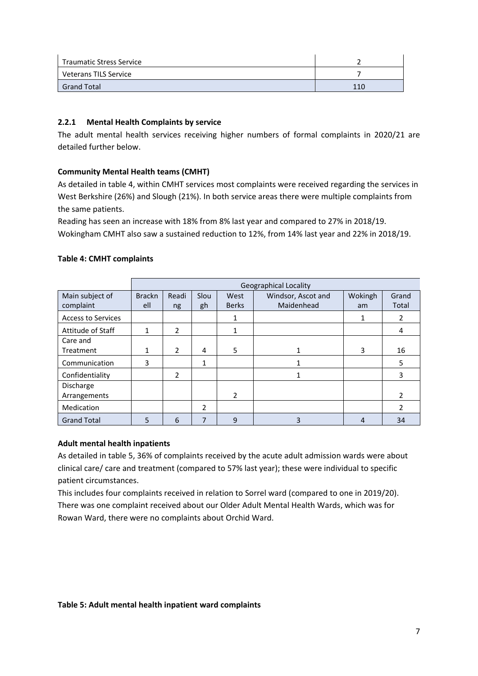| <b>Traumatic Stress Service</b> |     |
|---------------------------------|-----|
| Veterans TILS Service           |     |
| <b>Grand Total</b>              | 110 |

## **2.2.1 Mental Health Complaints by service**

The adult mental health services receiving higher numbers of formal complaints in 2020/21 are detailed further below.

## **Community Mental Health teams (CMHT)**

As detailed in table 4, within CMHT services most complaints were received regarding the services in West Berkshire (26%) and Slough (21%). In both service areas there were multiple complaints from the same patients.

Reading has seen an increase with 18% from 8% last year and compared to 27% in 2018/19. Wokingham CMHT also saw a sustained reduction to 12%, from 14% last year and 22% in 2018/19.

|                           | <b>Geographical Locality</b> |                |      |                |                    |         |       |  |  |  |  |
|---------------------------|------------------------------|----------------|------|----------------|--------------------|---------|-------|--|--|--|--|
| Main subject of           | <b>Brackn</b>                | Readi          | Slou | West           | Windsor, Ascot and | Wokingh | Grand |  |  |  |  |
| complaint                 | ell                          | ng             | gh   | <b>Berks</b>   | Maidenhead         | am      | Total |  |  |  |  |
| <b>Access to Services</b> |                              |                |      | 1              |                    | 1       | 2     |  |  |  |  |
| Attitude of Staff         | 1                            | $\overline{2}$ |      | 1              |                    |         | 4     |  |  |  |  |
| Care and                  |                              |                |      |                |                    |         |       |  |  |  |  |
| Treatment                 | 1                            | $\mathcal{P}$  | 4    | 5              |                    | 3       | 16    |  |  |  |  |
| Communication             | 3                            |                | 1    |                |                    |         | 5     |  |  |  |  |
| Confidentiality           |                              | $\overline{2}$ |      |                |                    |         | 3     |  |  |  |  |
| Discharge                 |                              |                |      |                |                    |         |       |  |  |  |  |
| Arrangements              |                              |                |      | $\overline{2}$ |                    |         | 2     |  |  |  |  |
| Medication                |                              |                | 2    |                |                    |         | C     |  |  |  |  |
| <b>Grand Total</b>        | 5                            | 6              | 7    | 9              | 3                  | 4       | 34    |  |  |  |  |

### **Table 4: CMHT complaints**

## **Adult mental health inpatients**

As detailed in table 5, 36% of complaints received by the acute adult admission wards were about clinical care/ care and treatment (compared to 57% last year); these were individual to specific patient circumstances.

This includes four complaints received in relation to Sorrel ward (compared to one in 2019/20). There was one complaint received about our Older Adult Mental Health Wards, which was for Rowan Ward, there were no complaints about Orchid Ward.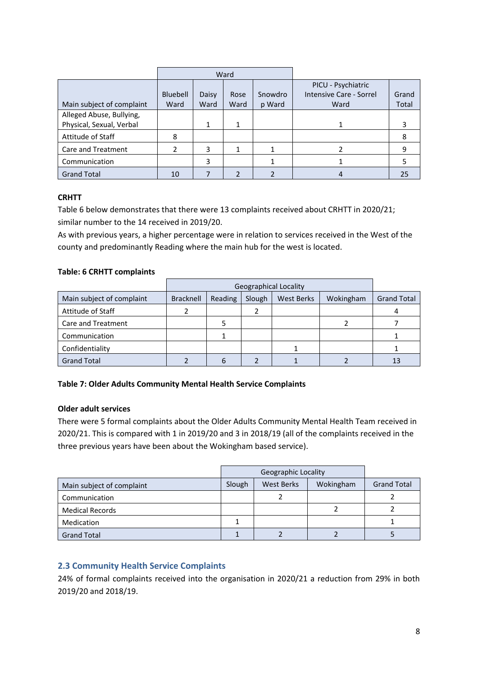|                           |                 |       | Ward |                    |                         |       |
|---------------------------|-----------------|-------|------|--------------------|-------------------------|-------|
|                           |                 |       |      | PICU - Psychiatric |                         |       |
|                           | <b>Bluebell</b> | Daisy | Rose | Snowdro            | Intensive Care - Sorrel | Grand |
| Main subject of complaint | Ward            | Ward  | Ward | p Ward             | Ward                    | Total |
| Alleged Abuse, Bullying,  |                 |       |      |                    |                         |       |
| Physical, Sexual, Verbal  |                 | 1     |      |                    |                         |       |
| Attitude of Staff         | 8               |       |      |                    |                         | 8     |
| Care and Treatment        | 2               | 3     |      |                    |                         | 9     |
| Communication             |                 | 3     |      |                    |                         |       |
| <b>Grand Total</b>        | 10              |       |      |                    |                         | 25    |

## **CRHTT**

Table 6 below demonstrates that there were 13 complaints received about CRHTT in 2020/21; similar number to the 14 received in 2019/20.

As with previous years, a higher percentage were in relation to services received in the West of the county and predominantly Reading where the main hub for the west is located.

## **Table: 6 CRHTT complaints**

|                           |                  | <b>Geographical Locality</b> |        |                   |           |                    |  |  |  |  |
|---------------------------|------------------|------------------------------|--------|-------------------|-----------|--------------------|--|--|--|--|
| Main subject of complaint | <b>Bracknell</b> | Reading                      | Slough | <b>West Berks</b> | Wokingham | <b>Grand Total</b> |  |  |  |  |
| Attitude of Staff         |                  |                              |        |                   |           |                    |  |  |  |  |
| Care and Treatment        |                  |                              |        |                   |           |                    |  |  |  |  |
| Communication             |                  |                              |        |                   |           |                    |  |  |  |  |
| Confidentiality           |                  |                              |        |                   |           |                    |  |  |  |  |
| <b>Grand Total</b>        |                  |                              |        |                   |           | 13                 |  |  |  |  |

## **Table 7: Older Adults Community Mental Health Service Complaints**

## **Older adult services**

There were 5 formal complaints about the Older Adults Community Mental Health Team received in 2020/21. This is compared with 1 in 2019/20 and 3 in 2018/19 (all of the complaints received in the three previous years have been about the Wokingham based service).

| Main subject of complaint | Slough | <b>West Berks</b> | Wokingham | <b>Grand Total</b> |
|---------------------------|--------|-------------------|-----------|--------------------|
| Communication             |        |                   |           |                    |
| <b>Medical Records</b>    |        |                   |           |                    |
| Medication                |        |                   |           |                    |
| <b>Grand Total</b>        |        |                   |           |                    |

## **2.3 Community Health Service Complaints**

24% of formal complaints received into the organisation in 2020/21 a reduction from 29% in both 2019/20 and 2018/19.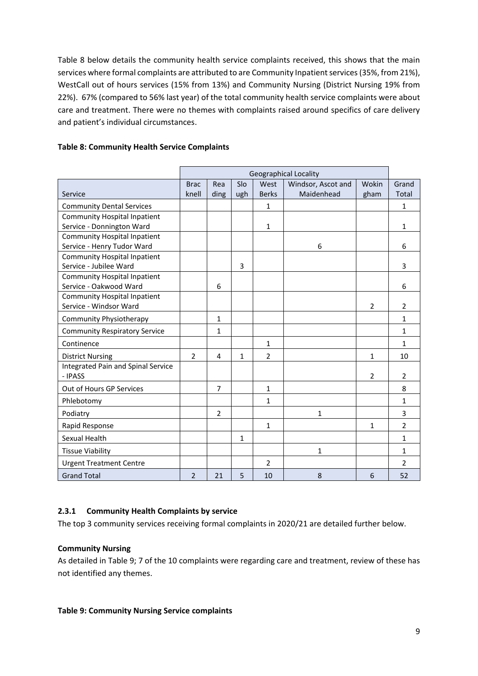Table 8 below details the community health service complaints received, this shows that the main services where formal complaints are attributed to are Community Inpatient services(35%, from 21%), WestCall out of hours services (15% from 13%) and Community Nursing (District Nursing 19% from 22%). 67% (compared to 56% last year) of the total community health service complaints were about care and treatment. There were no themes with complaints raised around specifics of care delivery and patient's individual circumstances.

|                                      |                |                |              |                | <b>Geographical Locality</b> |                |                |
|--------------------------------------|----------------|----------------|--------------|----------------|------------------------------|----------------|----------------|
|                                      | <b>Brac</b>    | Rea            | Slo          | West           | Windsor, Ascot and           | Wokin          | Grand          |
| Service                              | knell          | ding           | ugh          | <b>Berks</b>   | Maidenhead                   | gham           | Total          |
| <b>Community Dental Services</b>     |                |                |              | 1              |                              |                | $\mathbf{1}$   |
| <b>Community Hospital Inpatient</b>  |                |                |              |                |                              |                |                |
| Service - Donnington Ward            |                |                |              | 1              |                              |                | 1              |
| <b>Community Hospital Inpatient</b>  |                |                |              |                |                              |                |                |
| Service - Henry Tudor Ward           |                |                |              |                | 6                            |                | 6              |
| <b>Community Hospital Inpatient</b>  |                |                |              |                |                              |                |                |
| Service - Jubilee Ward               |                |                | 3            |                |                              |                | 3              |
| <b>Community Hospital Inpatient</b>  |                |                |              |                |                              |                |                |
| Service - Oakwood Ward               |                | 6              |              |                |                              |                | 6              |
| <b>Community Hospital Inpatient</b>  |                |                |              |                |                              |                |                |
| Service - Windsor Ward               |                |                |              |                |                              | $\overline{2}$ | $\overline{2}$ |
| Community Physiotherapy              |                | $\mathbf{1}$   |              |                |                              |                | $\mathbf{1}$   |
| <b>Community Respiratory Service</b> |                | $\mathbf{1}$   |              |                |                              |                | 1              |
| Continence                           |                |                |              | 1              |                              |                | $\mathbf{1}$   |
| <b>District Nursing</b>              | $\overline{2}$ | 4              | $\mathbf{1}$ | $\overline{2}$ |                              | 1              | 10             |
| Integrated Pain and Spinal Service   |                |                |              |                |                              |                |                |
| - IPASS                              |                |                |              |                |                              | 2              | 2              |
| Out of Hours GP Services             |                | $\overline{7}$ |              | 1              |                              |                | 8              |
| Phlebotomy                           |                |                |              | 1              |                              |                | $\mathbf{1}$   |
| Podiatry                             |                | $\overline{2}$ |              |                | 1                            |                | 3              |
| Rapid Response                       |                |                |              | 1              |                              | 1              | 2              |
| Sexual Health                        |                |                | 1            |                |                              |                | $\mathbf{1}$   |
| <b>Tissue Viability</b>              |                |                |              |                | 1                            |                | 1              |
| <b>Urgent Treatment Centre</b>       |                |                |              | 2              |                              |                | $\overline{2}$ |
| <b>Grand Total</b>                   | $\overline{2}$ | 21             | 5            | 10             | 8                            | 6              | 52             |

## **Table 8: Community Health Service Complaints**

## **2.3.1 Community Health Complaints by service**

The top 3 community services receiving formal complaints in 2020/21 are detailed further below.

#### **Community Nursing**

As detailed in Table 9; 7 of the 10 complaints were regarding care and treatment, review of these has not identified any themes.

#### **Table 9: Community Nursing Service complaints**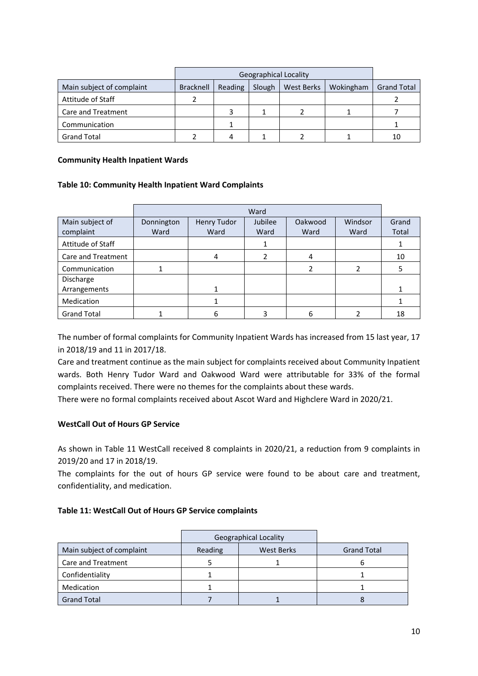|                           |           | <b>Geographical Locality</b> |        |            |           |                    |  |  |  |  |
|---------------------------|-----------|------------------------------|--------|------------|-----------|--------------------|--|--|--|--|
| Main subject of complaint | Bracknell | Reading                      | Slough | West Berks | Wokingham | <b>Grand Total</b> |  |  |  |  |
| Attitude of Staff         |           |                              |        |            |           |                    |  |  |  |  |
| Care and Treatment        |           |                              |        |            |           |                    |  |  |  |  |
| Communication             |           |                              |        |            |           |                    |  |  |  |  |
| <b>Grand Total</b>        |           |                              |        |            |           | 10                 |  |  |  |  |

#### **Community Health Inpatient Wards**

#### **Table 10: Community Health Inpatient Ward Complaints**

|                    |            | Ward        |         |               |         |       |  |  |  |  |  |  |
|--------------------|------------|-------------|---------|---------------|---------|-------|--|--|--|--|--|--|
| Main subject of    | Donnington | Henry Tudor | Jubilee | Oakwood       | Windsor | Grand |  |  |  |  |  |  |
| complaint          | Ward       | Ward        | Ward    | Ward          | Ward    | Total |  |  |  |  |  |  |
| Attitude of Staff  |            |             | 1       |               |         |       |  |  |  |  |  |  |
| Care and Treatment |            | 4           |         | 4             |         | 10    |  |  |  |  |  |  |
| Communication      |            |             |         | $\mathcal{P}$ |         | 5     |  |  |  |  |  |  |
| Discharge          |            |             |         |               |         |       |  |  |  |  |  |  |
| Arrangements       |            | 1           |         |               |         |       |  |  |  |  |  |  |
| Medication         |            |             |         |               |         |       |  |  |  |  |  |  |
| <b>Grand Total</b> |            | 6           |         | 6             |         | 18    |  |  |  |  |  |  |

The number of formal complaints for Community Inpatient Wards has increased from 15 last year, 17 in 2018/19 and 11 in 2017/18.

Care and treatment continue as the main subject for complaints received about Community Inpatient wards. Both Henry Tudor Ward and Oakwood Ward were attributable for 33% of the formal complaints received. There were no themes for the complaints about these wards.

There were no formal complaints received about Ascot Ward and Highclere Ward in 2020/21.

#### **WestCall Out of Hours GP Service**

As shown in Table 11 WestCall received 8 complaints in 2020/21, a reduction from 9 complaints in 2019/20 and 17 in 2018/19.

The complaints for the out of hours GP service were found to be about care and treatment, confidentiality, and medication.

#### **Table 11: WestCall Out of Hours GP Service complaints**

|                           |         | <b>Geographical Locality</b> |                    |
|---------------------------|---------|------------------------------|--------------------|
| Main subject of complaint | Reading | <b>West Berks</b>            | <b>Grand Total</b> |
| Care and Treatment        |         |                              |                    |
| Confidentiality           |         |                              |                    |
| Medication                |         |                              |                    |
| <b>Grand Total</b>        |         |                              |                    |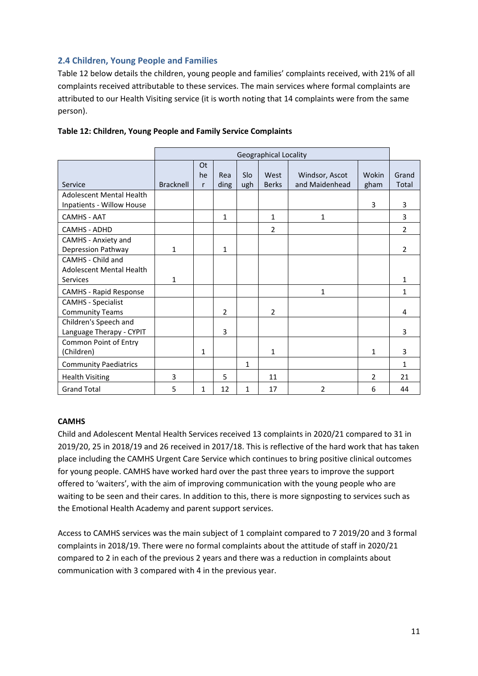## **2.4 Children, Young People and Families**

Table 12 below details the children, young people and families' complaints received, with 21% of all complaints received attributable to these services. The main services where formal complaints are attributed to our Health Visiting service (it is worth noting that 14 complaints were from the same person).

|                                                                  |                  | <b>Geographical Locality</b> |             |            |                      |                                  |                |                |  |  |  |  |  |
|------------------------------------------------------------------|------------------|------------------------------|-------------|------------|----------------------|----------------------------------|----------------|----------------|--|--|--|--|--|
| Service                                                          | <b>Bracknell</b> | Ot<br>he<br>r                | Rea<br>ding | Slo<br>ugh | West<br><b>Berks</b> | Windsor, Ascot<br>and Maidenhead | Wokin<br>gham  | Grand<br>Total |  |  |  |  |  |
| <b>Adolescent Mental Health</b><br>Inpatients - Willow House     |                  |                              |             |            |                      |                                  | 3              | 3              |  |  |  |  |  |
| <b>CAMHS - AAT</b>                                               |                  |                              | 1           |            | 1                    | 1                                |                | 3              |  |  |  |  |  |
| CAMHS - ADHD                                                     |                  |                              |             |            | $\overline{2}$       |                                  |                | $\overline{2}$ |  |  |  |  |  |
| CAMHS - Anxiety and<br>Depression Pathway                        | 1                |                              | 1           |            |                      |                                  |                | 2              |  |  |  |  |  |
| CAMHS - Child and<br><b>Adolescent Mental Health</b><br>Services | 1                |                              |             |            |                      |                                  |                | 1              |  |  |  |  |  |
| <b>CAMHS - Rapid Response</b>                                    |                  |                              |             |            |                      | $\mathbf{1}$                     |                | 1              |  |  |  |  |  |
| <b>CAMHS - Specialist</b><br><b>Community Teams</b>              |                  |                              | 2           |            | 2                    |                                  |                | 4              |  |  |  |  |  |
| Children's Speech and<br>Language Therapy - CYPIT                |                  |                              | 3           |            |                      |                                  |                | 3              |  |  |  |  |  |
| Common Point of Entry<br>(Children)                              |                  | 1                            |             |            | 1                    |                                  | 1              | 3              |  |  |  |  |  |
| <b>Community Paediatrics</b>                                     |                  |                              |             | 1          |                      |                                  |                | 1              |  |  |  |  |  |
| <b>Health Visiting</b>                                           | 3                |                              | 5           |            | 11                   |                                  | $\overline{2}$ | 21             |  |  |  |  |  |
| <b>Grand Total</b>                                               | 5                | 1                            | 12          | 1          | 17                   | $\mathcal{P}$                    | 6              | 44             |  |  |  |  |  |

#### **Table 12: Children, Young People and Family Service Complaints**

#### **CAMHS**

Child and Adolescent Mental Health Services received 13 complaints in 2020/21 compared to 31 in 2019/20, 25 in 2018/19 and 26 received in 2017/18. This is reflective of the hard work that has taken place including the CAMHS Urgent Care Service which continues to bring positive clinical outcomes for young people. CAMHS have worked hard over the past three years to improve the support offered to 'waiters', with the aim of improving communication with the young people who are waiting to be seen and their cares. In addition to this, there is more signposting to services such as the Emotional Health Academy and parent support services.

Access to CAMHS services was the main subject of 1 complaint compared to 7 2019/20 and 3 formal complaints in 2018/19. There were no formal complaints about the attitude of staff in 2020/21 compared to 2 in each of the previous 2 years and there was a reduction in complaints about communication with 3 compared with 4 in the previous year.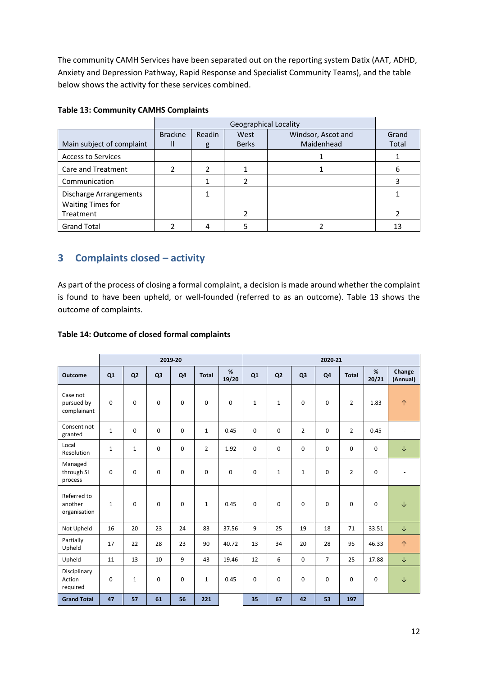The community CAMH Services have been separated out on the reporting system Datix (AAT, ADHD, Anxiety and Depression Pathway, Rapid Response and Specialist Community Teams), and the table below shows the activity for these services combined.

|                           |                | <b>Geographical Locality</b> |              |                    |       |  |  |  |  |  |  |
|---------------------------|----------------|------------------------------|--------------|--------------------|-------|--|--|--|--|--|--|
|                           | <b>Brackne</b> | Readin                       | West         | Windsor, Ascot and | Grand |  |  |  |  |  |  |
| Main subject of complaint |                | g                            | <b>Berks</b> | Maidenhead         | Total |  |  |  |  |  |  |
| <b>Access to Services</b> |                |                              |              |                    |       |  |  |  |  |  |  |
| Care and Treatment        |                | ำ                            |              |                    | 6     |  |  |  |  |  |  |
| Communication             |                |                              |              |                    |       |  |  |  |  |  |  |
| Discharge Arrangements    |                |                              |              |                    |       |  |  |  |  |  |  |
| <b>Waiting Times for</b>  |                |                              |              |                    |       |  |  |  |  |  |  |
| Treatment                 |                |                              | 2            |                    |       |  |  |  |  |  |  |
| <b>Grand Total</b>        |                |                              |              |                    | 13    |  |  |  |  |  |  |

## **Table 13: Community CAMHS Complaints**

## **3 Complaints closed – activity**

As part of the process of closing a formal complaint, a decision is made around whether the complaint is found to have been upheld, or well-founded (referred to as an outcome). Table 13 shows the outcome of complaints.

### **Table 14: Outcome of closed formal complaints**

|                                        |              |                |                | 2019-20     |                |             | 2020-21      |                |                |                |                |             |                    |
|----------------------------------------|--------------|----------------|----------------|-------------|----------------|-------------|--------------|----------------|----------------|----------------|----------------|-------------|--------------------|
| <b>Outcome</b>                         | Q1           | Q <sub>2</sub> | Q <sub>3</sub> | Q4          | <b>Total</b>   | %<br>19/20  | Q1           | Q <sub>2</sub> | Q <sub>3</sub> | Q4             | <b>Total</b>   | %<br>20/21  | Change<br>(Annual) |
| Case not<br>pursued by<br>complainant  | $\mathbf 0$  | $\mathbf 0$    | 0              | $\mathbf 0$ | 0              | $\mathbf 0$ | $\mathbf{1}$ | $\mathbf{1}$   | $\mathbf 0$    | $\mathbf 0$    | $\overline{2}$ | 1.83        | $\uparrow$         |
| Consent not<br>granted                 | $\mathbf{1}$ | $\mathbf 0$    | 0              | $\mathbf 0$ | $\mathbf{1}$   | 0.45        | 0            | 0              | $\overline{2}$ | $\mathbf 0$    | $\overline{2}$ | 0.45        |                    |
| Local<br>Resolution                    | $\mathbf{1}$ | $\mathbf{1}$   | 0              | 0           | $\overline{2}$ | 1.92        | $\mathbf 0$  | 0              | $\mathbf 0$    | $\mathbf 0$    | $\mathbf 0$    | 0           | $\downarrow$       |
| Managed<br>through SI<br>process       | 0            | $\mathbf 0$    | 0              | $\mathbf 0$ | 0              | $\mathbf 0$ | $\mathbf 0$  | $\mathbf{1}$   | $\mathbf{1}$   | $\mathbf 0$    | $\overline{2}$ | 0           |                    |
| Referred to<br>another<br>organisation | $\mathbf{1}$ | $\mathbf 0$    | 0              | $\mathbf 0$ | $\mathbf{1}$   | 0.45        | $\mathbf 0$  | $\mathbf 0$    | $\mathbf 0$    | $\mathbf 0$    | $\mathbf 0$    | $\mathbf 0$ | $\downarrow$       |
| Not Upheld                             | 16           | 20             | 23             | 24          | 83             | 37.56       | 9            | 25             | 19             | 18             | 71             | 33.51       | $\downarrow$       |
| Partially<br>Upheld                    | 17           | 22             | 28             | 23          | 90             | 40.72       | 13           | 34             | 20             | 28             | 95             | 46.33       | $\uparrow$         |
| Upheld                                 | 11           | 13             | 10             | 9           | 43             | 19.46       | 12           | 6              | $\mathbf 0$    | $\overline{7}$ | 25             | 17.88       | $\downarrow$       |
| Disciplinary<br>Action<br>required     | $\mathbf 0$  | $\mathbf{1}$   | 0              | $\mathbf 0$ | $\mathbf{1}$   | 0.45        | $\mathbf 0$  | $\mathbf 0$    | $\mathbf 0$    | $\mathbf 0$    | $\mathbf 0$    | 0           | $\downarrow$       |
| <b>Grand Total</b>                     | 47           | 57             | 61             | 56          | 221            |             | 35           | 67             | 42             | 53             | 197            |             |                    |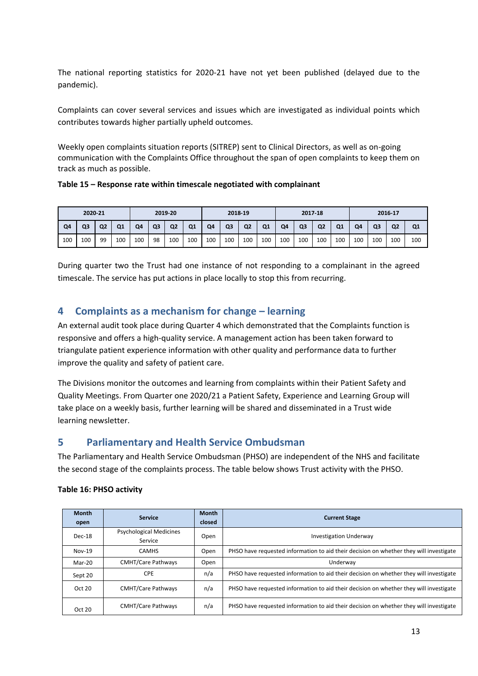The national reporting statistics for 2020-21 have not yet been published (delayed due to the pandemic).

Complaints can cover several services and issues which are investigated as individual points which contributes towards higher partially upheld outcomes.

Weekly open complaints situation reports (SITREP) sent to Clinical Directors, as well as on-going communication with the Complaints Office throughout the span of open complaints to keep them on track as much as possible.

**Table 15 – Response rate within timescale negotiated with complainant**

| 2020-21<br>2019-20 |     |                | 2018-19 |                |                |                | 2017-18        |     |     |                | 2016-17        |     |                |                |                |                |                |                |                |
|--------------------|-----|----------------|---------|----------------|----------------|----------------|----------------|-----|-----|----------------|----------------|-----|----------------|----------------|----------------|----------------|----------------|----------------|----------------|
| Q4                 | Q3  | Q <sub>2</sub> | Q1      | Q <sub>4</sub> | Q <sub>3</sub> | Q <sub>2</sub> | Q <sub>1</sub> | Q4  | Q3  | Q <sub>2</sub> | Q <sub>1</sub> | Q4  | Q <sub>3</sub> | Q <sub>2</sub> | Q <sub>1</sub> | Q <sub>4</sub> | Q <sub>3</sub> | Q <sub>2</sub> | Q <sub>1</sub> |
| 100                | 100 | 99             | 100     | 100            | 98             | 100            | 100            | 100 | 100 | 100            | 100            | 100 | 100            | 100            | 100            | 100            | 100            | 100            | 100            |

During quarter two the Trust had one instance of not responding to a complainant in the agreed timescale. The service has put actions in place locally to stop this from recurring.

## **4 Complaints as a mechanism for change – learning**

An external audit took place during Quarter 4 which demonstrated that the Complaints function is responsive and offers a high-quality service. A management action has been taken forward to triangulate patient experience information with other quality and performance data to further improve the quality and safety of patient care.

The Divisions monitor the outcomes and learning from complaints within their Patient Safety and Quality Meetings. From Quarter one 2020/21 a Patient Safety, Experience and Learning Group will take place on a weekly basis, further learning will be shared and disseminated in a Trust wide learning newsletter.

## **5 Parliamentary and Health Service Ombudsman**

The Parliamentary and Health Service Ombudsman (PHSO) are independent of the NHS and facilitate the second stage of the complaints process. The table below shows Trust activity with the PHSO.

| <b>Month</b><br>open | <b>Service</b>                            | <b>Month</b><br>closed | <b>Current Stage</b>                                                                   |
|----------------------|-------------------------------------------|------------------------|----------------------------------------------------------------------------------------|
| Dec-18               | <b>Psychological Medicines</b><br>Service | Open                   | <b>Investigation Underway</b>                                                          |
| Nov-19               | <b>CAMHS</b>                              | Open                   | PHSO have requested information to aid their decision on whether they will investigate |
| Mar-20               | <b>CMHT/Care Pathways</b>                 | Open                   | Underway                                                                               |
| Sept 20              | <b>CPE</b>                                | n/a                    | PHSO have requested information to aid their decision on whether they will investigate |
| Oct 20               | <b>CMHT/Care Pathways</b>                 | n/a                    | PHSO have requested information to aid their decision on whether they will investigate |
| Oct 20               | <b>CMHT/Care Pathways</b>                 | n/a                    | PHSO have requested information to aid their decision on whether they will investigate |

## **Table 16: PHSO activity**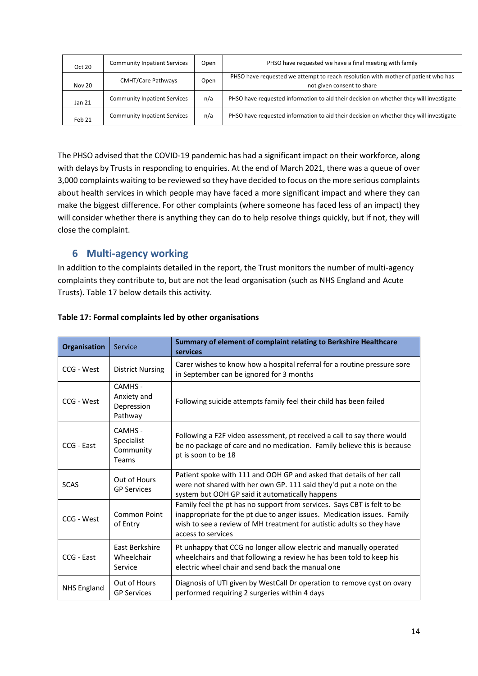| Oct 20 | <b>Community Inpatient Services</b> | Open | PHSO have requested we have a final meeting with family                                                         |
|--------|-------------------------------------|------|-----------------------------------------------------------------------------------------------------------------|
| Nov 20 | <b>CMHT/Care Pathways</b>           | Open | PHSO have requested we attempt to reach resolution with mother of patient who has<br>not given consent to share |
| Jan 21 | <b>Community Inpatient Services</b> | n/a  | PHSO have requested information to aid their decision on whether they will investigate                          |
| Feb 21 | <b>Community Inpatient Services</b> | n/a  | PHSO have requested information to aid their decision on whether they will investigate                          |

The PHSO advised that the COVID-19 pandemic has had a significant impact on their workforce, along with delays by Trusts in responding to enquiries. At the end of March 2021, there was a queue of over 3,000 complaints waiting to be reviewed so they have decided to focus on the more serious complaints about health services in which people may have faced a more significant impact and where they can make the biggest difference. For other complaints (where someone has faced less of an impact) they will consider whether there is anything they can do to help resolve things quickly, but if not, they will close the complaint.

## **6 Multi-agency working**

In addition to the complaints detailed in the report, the Trust monitors the number of multi-agency complaints they contribute to, but are not the lead organisation (such as NHS England and Acute Trusts). Table 17 below details this activity.

| <b>Organisation</b> | Service                                         | Summary of element of complaint relating to Berkshire Healthcare<br>services                                                                                                                                                                      |
|---------------------|-------------------------------------------------|---------------------------------------------------------------------------------------------------------------------------------------------------------------------------------------------------------------------------------------------------|
| CCG - West          | <b>District Nursing</b>                         | Carer wishes to know how a hospital referral for a routine pressure sore<br>in September can be ignored for 3 months                                                                                                                              |
| CCG - West          | CAMHS -<br>Anxiety and<br>Depression<br>Pathway | Following suicide attempts family feel their child has been failed                                                                                                                                                                                |
| CCG - East          | CAMHS -<br>Specialist<br>Community<br>Teams     | Following a F2F video assessment, pt received a call to say there would<br>be no package of care and no medication. Family believe this is because<br>pt is soon to be 18                                                                         |
| <b>SCAS</b>         | Out of Hours<br><b>GP Services</b>              | Patient spoke with 111 and OOH GP and asked that details of her call<br>were not shared with her own GP. 111 said they'd put a note on the<br>system but OOH GP said it automatically happens                                                     |
| CCG - West          | Common Point<br>of Entry                        | Family feel the pt has no support from services. Says CBT is felt to be<br>inappropriate for the pt due to anger issues. Medication issues. Family<br>wish to see a review of MH treatment for autistic adults so they have<br>access to services |
| CCG - East          | East Berkshire<br>Wheelchair<br>Service         | Pt unhappy that CCG no longer allow electric and manually operated<br>wheelchairs and that following a review he has been told to keep his<br>electric wheel chair and send back the manual one                                                   |
| <b>NHS England</b>  | Out of Hours<br><b>GP Services</b>              | Diagnosis of UTI given by WestCall Dr operation to remove cyst on ovary<br>performed requiring 2 surgeries within 4 days                                                                                                                          |

## **Table 17: Formal complaints led by other organisations**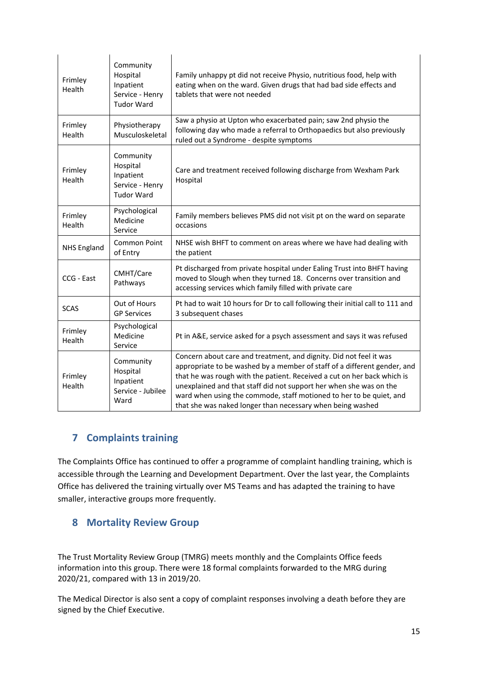| Frimley<br>Health  | Community<br>Hospital<br>Inpatient<br>Service - Henry<br><b>Tudor Ward</b> | Family unhappy pt did not receive Physio, nutritious food, help with<br>eating when on the ward. Given drugs that had bad side effects and<br>tablets that were not needed                                                                                                                                                                                                                                                           |
|--------------------|----------------------------------------------------------------------------|--------------------------------------------------------------------------------------------------------------------------------------------------------------------------------------------------------------------------------------------------------------------------------------------------------------------------------------------------------------------------------------------------------------------------------------|
| Frimley<br>Health  | Physiotherapy<br>Musculoskeletal                                           | Saw a physio at Upton who exacerbated pain; saw 2nd physio the<br>following day who made a referral to Orthopaedics but also previously<br>ruled out a Syndrome - despite symptoms                                                                                                                                                                                                                                                   |
| Frimley<br>Health  | Community<br>Hospital<br>Inpatient<br>Service - Henry<br><b>Tudor Ward</b> | Care and treatment received following discharge from Wexham Park<br>Hospital                                                                                                                                                                                                                                                                                                                                                         |
| Frimley<br>Health  | Psychological<br>Medicine<br>Service                                       | Family members believes PMS did not visit pt on the ward on separate<br>occasions                                                                                                                                                                                                                                                                                                                                                    |
| <b>NHS England</b> | <b>Common Point</b><br>of Entry                                            | NHSE wish BHFT to comment on areas where we have had dealing with<br>the patient                                                                                                                                                                                                                                                                                                                                                     |
| CCG - East         | CMHT/Care<br>Pathways                                                      | Pt discharged from private hospital under Ealing Trust into BHFT having<br>moved to Slough when they turned 18. Concerns over transition and<br>accessing services which family filled with private care                                                                                                                                                                                                                             |
| <b>SCAS</b>        | Out of Hours<br><b>GP Services</b>                                         | Pt had to wait 10 hours for Dr to call following their initial call to 111 and<br>3 subsequent chases                                                                                                                                                                                                                                                                                                                                |
| Frimley<br>Health  | Psychological<br>Medicine<br>Service                                       | Pt in A&E, service asked for a psych assessment and says it was refused                                                                                                                                                                                                                                                                                                                                                              |
| Frimley<br>Health  | Community<br>Hospital<br>Inpatient<br>Service - Jubilee<br>Ward            | Concern about care and treatment, and dignity. Did not feel it was<br>appropriate to be washed by a member of staff of a different gender, and<br>that he was rough with the patient. Received a cut on her back which is<br>unexplained and that staff did not support her when she was on the<br>ward when using the commode, staff motioned to her to be quiet, and<br>that she was naked longer than necessary when being washed |

## **7 Complaints training**

The Complaints Office has continued to offer a programme of complaint handling training, which is accessible through the Learning and Development Department. Over the last year, the Complaints Office has delivered the training virtually over MS Teams and has adapted the training to have smaller, interactive groups more frequently.

## **8 Mortality Review Group**

The Trust Mortality Review Group (TMRG) meets monthly and the Complaints Office feeds information into this group. There were 18 formal complaints forwarded to the MRG during 2020/21, compared with 13 in 2019/20.

The Medical Director is also sent a copy of complaint responses involving a death before they are signed by the Chief Executive.